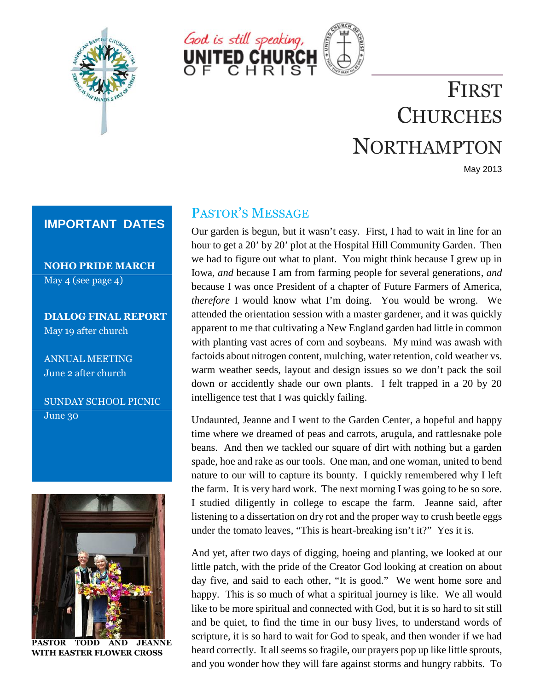



# FIRST **CHURCHES** NORTHAMPTON

May 2013

#### **IMPORTANT DATES**

**NOHO PRIDE MARCH** May 4 (see page 4)

**DIALOG FINAL REPORT** May 19 after church

ANNUAL MEETING June 2 after church

SUNDAY SCHOOL PICNIC June 30



**PASTOR TODD AND JEANNE WITH EASTER FLOWER CROSS**

#### PASTOR'S MESSAGE

Our garden is begun, but it wasn't easy. First, I had to wait in line for an hour to get a 20' by 20' plot at the Hospital Hill Community Garden. Then we had to figure out what to plant. You might think because I grew up in Iowa*, and* because I am from farming people for several generations*, and* because I was once President of a chapter of Future Farmers of America, *therefore* I would know what I'm doing. You would be wrong. We attended the orientation session with a master gardener, and it was quickly apparent to me that cultivating a New England garden had little in common with planting vast acres of corn and soybeans. My mind was awash with factoids about nitrogen content, mulching, water retention, cold weather vs. warm weather seeds, layout and design issues so we don't pack the soil down or accidently shade our own plants. I felt trapped in a 20 by 20 intelligence test that I was quickly failing.

Undaunted, Jeanne and I went to the Garden Center, a hopeful and happy time where we dreamed of peas and carrots, arugula, and rattlesnake pole beans. And then we tackled our square of dirt with nothing but a garden spade, hoe and rake as our tools. One man, and one woman, united to bend nature to our will to capture its bounty. I quickly remembered why I left the farm. It is very hard work. The next morning I was going to be so sore. I studied diligently in college to escape the farm. Jeanne said, after listening to a dissertation on dry rot and the proper way to crush beetle eggs under the tomato leaves, "This is heart-breaking isn't it?" Yes it is.

And yet, after two days of digging, hoeing and planting, we looked at our little patch, with the pride of the Creator God looking at creation on about day five, and said to each other, "It is good." We went home sore and happy. This is so much of what a spiritual journey is like. We all would like to be more spiritual and connected with God, but it is so hard to sit still and be quiet, to find the time in our busy lives, to understand words of scripture, it is so hard to wait for God to speak, and then wonder if we had heard correctly. It all seems so fragile, our prayers pop up like little sprouts, and you wonder how they will fare against storms and hungry rabbits. To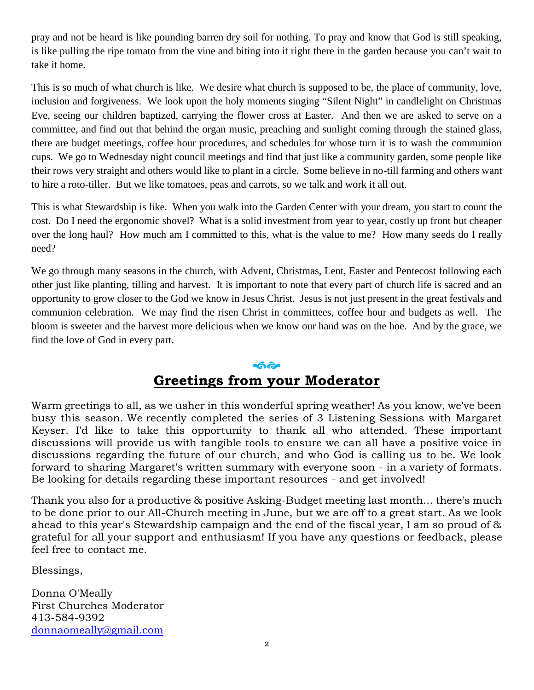pray and not be heard is like pounding barren dry soil for nothing. To pray and know that God is still speaking, is like pulling the ripe tomato from the vine and biting into it right there in the garden because you can't wait to take it home.

This is so much of what church is like. We desire what church is supposed to be, the place of community, love, inclusion and forgiveness. We look upon the holy moments singing "Silent Night" in candlelight on Christmas Eve, seeing our children baptized, carrying the flower cross at Easter. And then we are asked to serve on a committee, and find out that behind the organ music, preaching and sunlight coming through the stained glass, there are budget meetings, coffee hour procedures, and schedules for whose turn it is to wash the communion cups. We go to Wednesday night council meetings and find that just like a community garden, some people like their rows very straight and others would like to plant in a circle. Some believe in no-till farming and others want to hire a roto-tiller. But we like tomatoes, peas and carrots, so we talk and work it all out.

This is what Stewardship is like. When you walk into the Garden Center with your dream, you start to count the cost. Do I need the ergonomic shovel? What is a solid investment from year to year, costly up front but cheaper over the long haul? How much am I committed to this, what is the value to me? How many seeds do I really need?

We go through many seasons in the church, with Advent, Christmas, Lent, Easter and Pentecost following each other just like planting, tilling and harvest. It is important to note that every part of church life is sacred and an opportunity to grow closer to the God we know in Jesus Christ. Jesus is not just present in the great festivals and communion celebration. We may find the risen Christ in committees, coffee hour and budgets as well. The bloom is sweeter and the harvest more delicious when we know our hand was on the hoe. And by the grace, we find the love of God in every part.

#### **Greetings from your Moderator**

Warm greetings to all, as we usher in this wonderful spring weather! As you know, we've been busy this season. We recently completed the series of 3 Listening Sessions with Margaret Keyser. I'd like to take this opportunity to thank all who attended. These important discussions will provide us with tangible tools to ensure we can all have a positive voice in discussions regarding the future of our church, and who God is calling us to be. We look forward to sharing Margaret's written summary with everyone soon - in a variety of formats. Be looking for details regarding these important resources - and get involved!

Thank you also for a productive & positive Asking-Budget meeting last month... there's much to be done prior to our All-Church meeting in June, but we are off to a great start. As we look ahead to this year's Stewardship campaign and the end of the fiscal year, I am so proud of & grateful for all your support and enthusiasm! If you have any questions or feedback, please feel free to contact me.

Blessings,

Donna O'Meally First Churches Moderator 413-584-9392 donnaomeally@gmail.com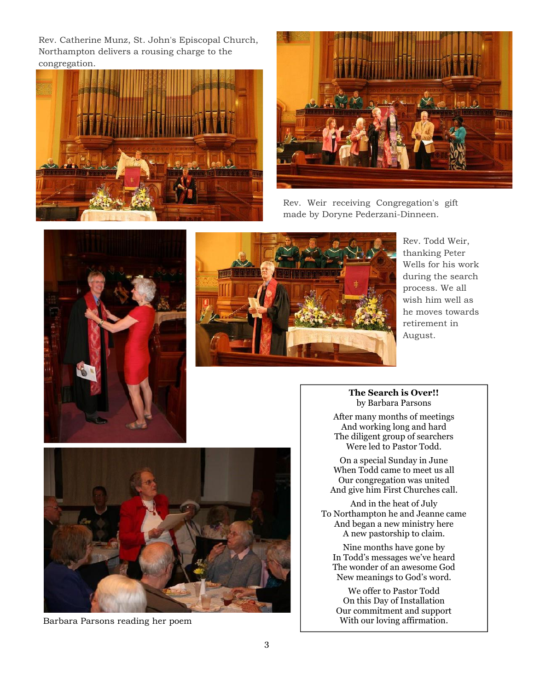Rev. Catherine Munz, St. John's Episcopal Church, Northampton delivers a rousing charge to the congregation.





Rev. Weir receiving Congregation's gift made by Doryne Pederzani-Dinneen.





Rev. Todd Weir, thanking Peter Wells for his work during the search process. We all wish him well as he moves towards retirement in August.



Barbara Parsons reading her poem With our loving affirmation.

**The Search is Over!!** by Barbara Parsons

After many months of meetings And working long and hard The diligent group of searchers Were led to Pastor Todd.

On a special Sunday in June When Todd came to meet us all Our congregation was united And give him First Churches call.

And in the heat of July To Northampton he and Jeanne came And began a new ministry here A new pastorship to claim.

Nine months have gone by In Todd's messages we've heard The wonder of an awesome God New meanings to God's word.

We offer to Pastor Todd On this Day of Installation Our commitment and support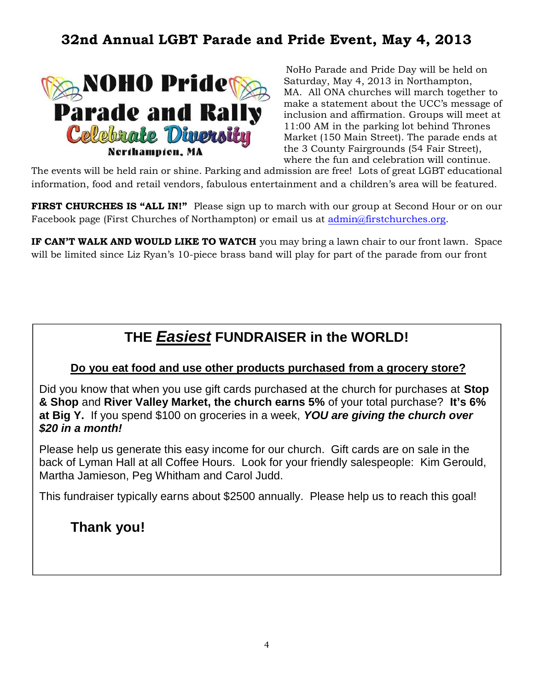# **32nd Annual LGBT Parade and Pride Event, May 4, 2013**



NoHo Parade and Pride Day will be held on Saturday, May 4, 2013 in Northampton, MA. All ONA churches will march together to make a statement about the UCC's message of inclusion and affirmation. Groups will meet at 11:00 AM in the parking lot behind Thrones Market (150 Main Street). The parade ends at the 3 County Fairgrounds (54 Fair Street), where the fun and celebration will continue.

The events will be held rain or shine. Parking and admission are free! Lots of great LGBT educational information, food and retail vendors, fabulous entertainment and a children's area will be featured.

**FIRST CHURCHES IS "ALL IN!"** Please sign up to march with our group at Second Hour or on our Facebook page (First Churches of Northampton) or email us at admin@firstchurches.org.

**IF CAN'T WALK AND WOULD LIKE TO WATCH** you may bring a lawn chair to our front lawn. Space will be limited since Liz Ryan's 10-piece brass band will play for part of the parade from our front

## **THE** *Easiest* **FUNDRAISER in the WORLD!**

#### **Do you eat food and use other products purchased from a grocery store?**

Did you know that when you use gift cards purchased at the church for purchases at **Stop & Shop** and **River Valley Market, the church earns 5%** of your total purchase? **It's 6% at Big Y.** If you spend \$100 on groceries in a week, *YOU are giving the church over \$20 in a month!*

Please help us generate this easy income for our church. Gift cards are on sale in the back of Lyman Hall at all Coffee Hours. Look for your friendly salespeople: Kim Gerould, Martha Jamieson, Peg Whitham and Carol Judd.

This fundraiser typically earns about \$2500 annually. Please help us to reach this goal!

# **Thank you!**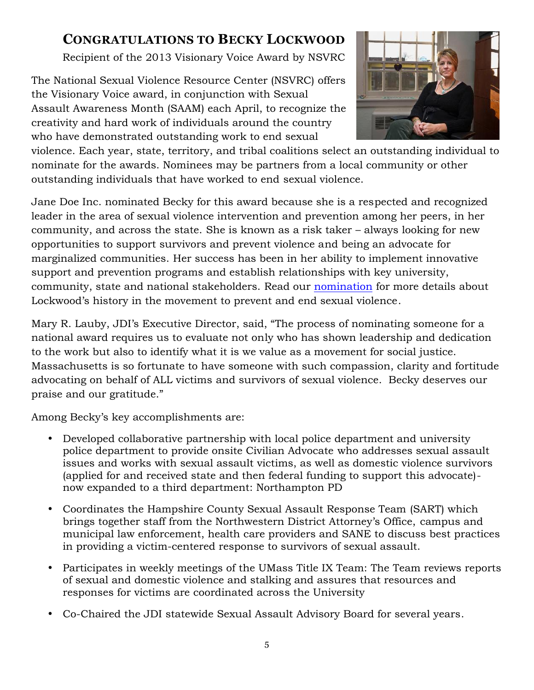# **CONGRATULATIONS TO BECKY LOCKWOOD**

Recipient of the 2013 Visionary Voice Award by NSVRC

The National Sexual Violence Resource Center (NSVRC) offers the Visionary Voice award, in conjunction with Sexual Assault Awareness Month (SAAM) each April, to recognize the creativity and hard work of individuals around the country who have demonstrated outstanding work to end sexual



violence. Each year, state, territory, and tribal coalitions select an outstanding individual to nominate for the awards. Nominees may be partners from a local community or other outstanding individuals that have worked to end sexual violence.

Jane Doe Inc. nominated Becky for this award because she is a respected and recognized leader in the area of sexual violence intervention and prevention among her peers, in her community, and across the state. She is known as a risk taker – always looking for new opportunities to support survivors and prevent violence and being an advocate for marginalized communities. Her success has been in her ability to implement innovative support and prevention programs and establish relationships with key university, community, state and national stakeholders. Read our nomination for more details about Lockwood's history in the movement to prevent and end sexual violence.

Mary R. Lauby, JDI's Executive Director, said, "The process of nominating someone for a national award requires us to evaluate not only who has shown leadership and dedication to the work but also to identify what it is we value as a movement for social justice. Massachusetts is so fortunate to have someone with such compassion, clarity and fortitude advocating on behalf of ALL victims and survivors of sexual violence. Becky deserves our praise and our gratitude."

Among Becky's key accomplishments are:

- Developed collaborative partnership with local police department and university police department to provide onsite Civilian Advocate who addresses sexual assault issues and works with sexual assault victims, as well as domestic violence survivors (applied for and received state and then federal funding to support this advocate) now expanded to a third department: Northampton PD
- Coordinates the Hampshire County Sexual Assault Response Team (SART) which brings together staff from the Northwestern District Attorney's Office, campus and municipal law enforcement, health care providers and SANE to discuss best practices in providing a victim-centered response to survivors of sexual assault.
- Participates in weekly meetings of the UMass Title IX Team: The Team reviews reports of sexual and domestic violence and stalking and assures that resources and responses for victims are coordinated across the University
- Co-Chaired the JDI statewide Sexual Assault Advisory Board for several years.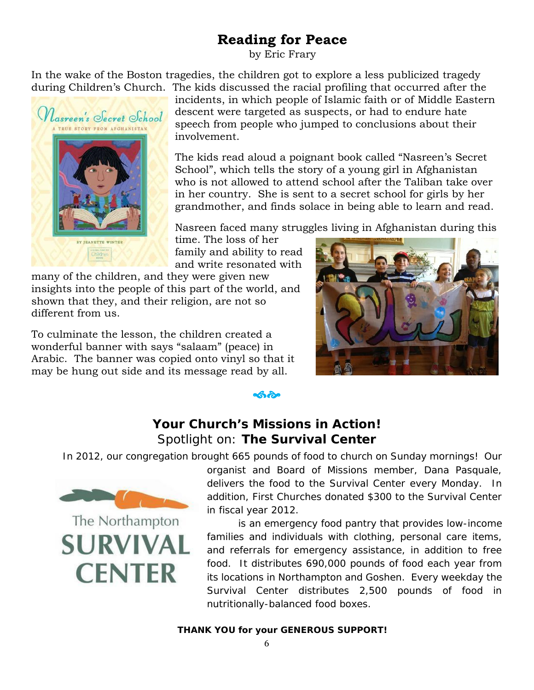## **Reading for Peace**

by Eric Frary

In the wake of the Boston tragedies, the children got to explore a less publicized tragedy during Children's Church. The kids discussed the racial profiling that occurred after the



incidents, in which people of Islamic faith or of Middle Eastern descent were targeted as suspects, or had to endure hate speech from people who jumped to conclusions about their involvement.

The kids read aloud a poignant book called "Nasreen's Secret School", which tells the story of a young girl in Afghanistan who is not allowed to attend school after the Taliban take over in her country. She is sent to a secret school for girls by her grandmother, and finds solace in being able to learn and read.

Nasreen faced many struggles living in Afghanistan during this

time. The loss of her family and ability to read and write resonated with

many of the children, and they were given new insights into the people of this part of the world, and shown that they, and their religion, are not so different from us.

To culminate the lesson, the children created a wonderful banner with says "salaam" (peace) in Arabic. The banner was copied onto vinyl so that it may be hung out side and its message read by all.



#### **Your Church's Missions in Action!** *Spotlight on:* **The Survival Center**

In 2012, our congregation brought 665 pounds of food to church on Sunday mornings! Our

The Northampton **SURVIVAL CENTER** 

organist and Board of Missions member, Dana Pasquale, delivers the food to the Survival Center every Monday. In addition, First Churches donated \$300 to the Survival Center in fiscal year 2012.

is an emergency food pantry that provides low-income families and individuals with clothing, personal care items, and referrals for emergency assistance, in addition to free food. It distributes 690,000 pounds of food each year from its locations in Northampton and Goshen. Every weekday the Survival Center distributes 2,500 pounds of food in nutritionally-balanced food boxes.

**THANK YOU for your GENEROUS SUPPORT!**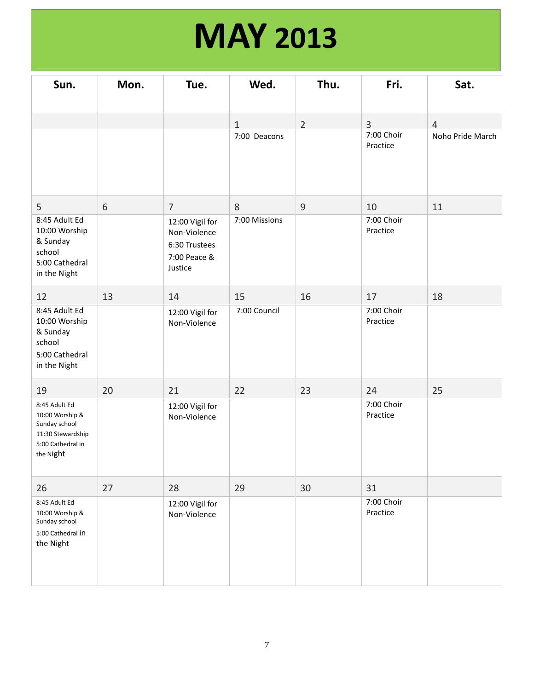# **MAY 2013**

| Sun.                                                                                                     | Mon. | Tue.                                                                        | Wed.          | Thu.           | Fri.                   | Sat.             |
|----------------------------------------------------------------------------------------------------------|------|-----------------------------------------------------------------------------|---------------|----------------|------------------------|------------------|
|                                                                                                          |      |                                                                             | $\mathbf{1}$  | $\overline{2}$ | $\overline{3}$         | $\overline{4}$   |
|                                                                                                          |      |                                                                             | 7:00 Deacons  |                | 7:00 Choir<br>Practice | Noho Pride March |
| 5                                                                                                        | 6    | $\overline{7}$                                                              | $8\,$         | $9\,$          | 10                     | 11               |
| 8:45 Adult Ed<br>10:00 Worship<br>& Sunday<br>school<br>5:00 Cathedral<br>in the Night                   |      | 12:00 Vigil for<br>Non-Violence<br>6:30 Trustees<br>7:00 Peace &<br>Justice | 7:00 Missions |                | 7:00 Choir<br>Practice |                  |
| 12                                                                                                       | 13   | 14                                                                          | 15            | 16             | 17                     | 18               |
| 8:45 Adult Ed<br>10:00 Worship<br>& Sunday<br>school<br>5:00 Cathedral<br>in the Night                   |      | 12:00 Vigil for<br>Non-Violence                                             | 7:00 Council  |                | 7:00 Choir<br>Practice |                  |
| 19                                                                                                       | 20   | 21                                                                          | 22            | 23             | 24                     | 25               |
| 8:45 Adult Ed<br>10:00 Worship &<br>Sunday school<br>11:30 Stewardship<br>5:00 Cathedral in<br>the Night |      | 12:00 Vigil for<br>Non-Violence                                             |               |                | 7:00 Choir<br>Practice |                  |
| 26                                                                                                       | 27   | 28                                                                          | 29            | 30             | 31                     |                  |
| 8:45 Adult Ed<br>10:00 Worship &<br>Sunday school<br>5:00 Cathedral in<br>the Night                      |      | 12:00 Vigil for<br>Non-Violence                                             |               |                | 7:00 Choir<br>Practice |                  |